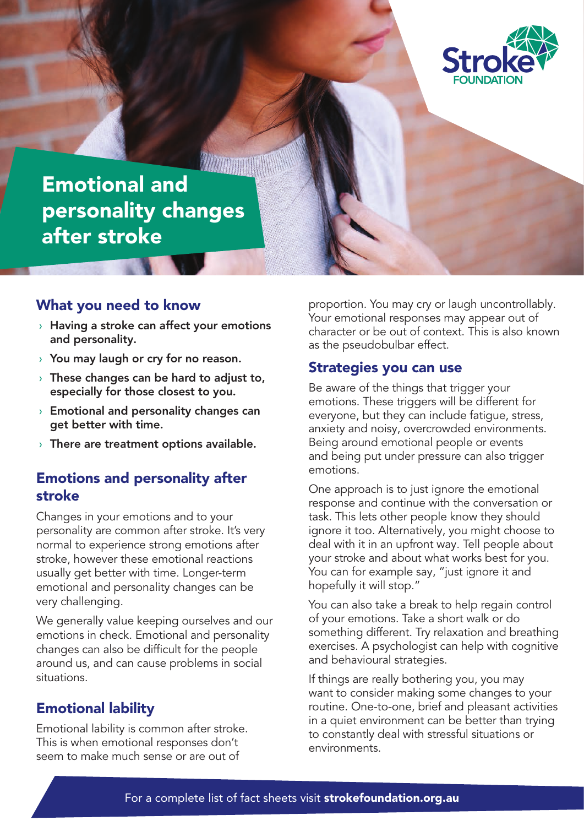

## Emotional and personality changes after stroke

### What you need to know

- $\rightarrow$  Having a stroke can affect your emotions and personality.
- › You may laugh or cry for no reason.
- $\rightarrow$  These changes can be hard to adjust to, especially for those closest to you.
- $\rightarrow$  Emotional and personality changes can get better with time.
- $\rightarrow$  There are treatment options available.

## Emotions and personality after stroke

Changes in your emotions and to your personality are common after stroke. It's very normal to experience strong emotions after stroke, however these emotional reactions usually get better with time. Longer-term emotional and personality changes can be very challenging.

We generally value keeping ourselves and our emotions in check. Emotional and personality changes can also be difficult for the people around us, and can cause problems in social situations.

## Emotional lability

Emotional lability is common after stroke. This is when emotional responses don't seem to make much sense or are out of

proportion. You may cry or laugh uncontrollably. Your emotional responses may appear out of character or be out of context. This is also known as the pseudobulbar effect.

#### Strategies you can use

Be aware of the things that trigger your emotions. These triggers will be different for everyone, but they can include fatigue, stress, anxiety and noisy, overcrowded environments. Being around emotional people or events and being put under pressure can also trigger emotions.

One approach is to just ignore the emotional response and continue with the conversation or task. This lets other people know they should ignore it too. Alternatively, you might choose to deal with it in an upfront way. Tell people about your stroke and about what works best for you. You can for example say, "just ignore it and hopefully it will stop."

You can also take a break to help regain control of your emotions. Take a short walk or do something different. Try relaxation and breathing exercises. A psychologist can help with cognitive and behavioural strategies.

If things are really bothering you, you may want to consider making some changes to your routine. One-to-one, brief and pleasant activities in a quiet environment can be better than trying to constantly deal with stressful situations or environments.